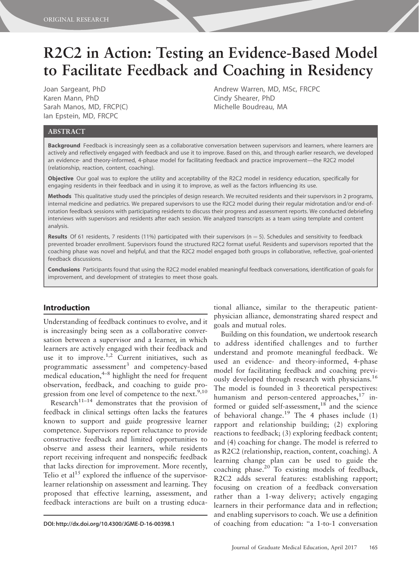# R2C2 in Action: Testing an Evidence-Based Model to Facilitate Feedback and Coaching in Residency

Joan Sargeant, PhD Karen Mann, PhD Sarah Manos, MD, FRCP(C) Ian Epstein, MD, FRCPC

Andrew Warren, MD, MSc, FRCPC Cindy Shearer, PhD Michelle Boudreau, MA

# ABSTRACT

Background Feedback is increasingly seen as a collaborative conversation between supervisors and learners, where learners are actively and reflectively engaged with feedback and use it to improve. Based on this, and through earlier research, we developed an evidence- and theory-informed, 4-phase model for facilitating feedback and practice improvement—the R2C2 model (relationship, reaction, content, coaching).

Objective Our goal was to explore the utility and acceptability of the R2C2 model in residency education, specifically for engaging residents in their feedback and in using it to improve, as well as the factors influencing its use.

Methods This qualitative study used the principles of design research. We recruited residents and their supervisors in 2 programs, internal medicine and pediatrics. We prepared supervisors to use the R2C2 model during their regular midrotation and/or end-ofrotation feedback sessions with participating residents to discuss their progress and assessment reports. We conducted debriefing interviews with supervisors and residents after each session. We analyzed transcripts as a team using template and content analysis.

Results Of 61 residents, 7 residents (11%) participated with their supervisors ( $n = 5$ ). Schedules and sensitivity to feedback prevented broader enrollment. Supervisors found the structured R2C2 format useful. Residents and supervisors reported that the coaching phase was novel and helpful, and that the R2C2 model engaged both groups in collaborative, reflective, goal-oriented feedback discussions.

Conclusions Participants found that using the R2C2 model enabled meaningful feedback conversations, identification of goals for improvement, and development of strategies to meet those goals.

# Introduction

Understanding of feedback continues to evolve, and it is increasingly being seen as a collaborative conversation between a supervisor and a learner, in which learners are actively engaged with their feedback and use it to improve.<sup>1,2</sup> Current initiatives, such as programmatic assessment<sup>3</sup> and competency-based medical education, $4-8$  highlight the need for frequent observation, feedback, and coaching to guide progression from one level of competence to the next.<sup>9,10</sup>

Research<sup>11-14</sup> demonstrates that the provision of feedback in clinical settings often lacks the features known to support and guide progressive learner competence. Supervisors report reluctance to provide constructive feedback and limited opportunities to observe and assess their learners, while residents report receiving infrequent and nonspecific feedback that lacks direction for improvement. More recently, Telio et al<sup>15</sup> explored the influence of the supervisorlearner relationship on assessment and learning. They proposed that effective learning, assessment, and feedback interactions are built on a trusting educa-

tional alliance, similar to the therapeutic patientphysician alliance, demonstrating shared respect and goals and mutual roles.

Building on this foundation, we undertook research to address identified challenges and to further understand and promote meaningful feedback. We used an evidence- and theory-informed, 4-phase model for facilitating feedback and coaching previously developed through research with physicians.<sup>16</sup> The model is founded in 3 theoretical perspectives: humanism and person-centered approaches, $17$  informed or guided self-assessment,<sup>18</sup> and the science of behavioral change.<sup>19</sup> The 4 phases include  $(1)$ rapport and relationship building; (2) exploring reactions to feedback; (3) exploring feedback content; and (4) coaching for change. The model is referred to as R2C2 (relationship, reaction, content, coaching). A learning change plan can be used to guide the coaching phase.<sup>20</sup> To existing models of feedback, R2C2 adds several features: establishing rapport; focusing on creation of a feedback conversation rather than a 1-way delivery; actively engaging learners in their performance data and in reflection; and enabling supervisors to coach. We use a definition DOI: http://dx.doi.org/10.4300/JGME-D-16-00398.1 of coaching from education: ''a 1-to-1 conversation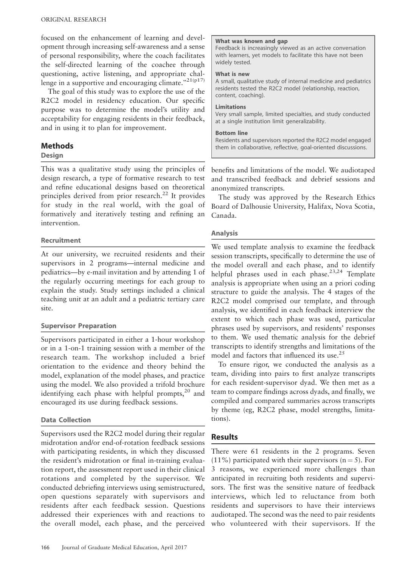focused on the enhancement of learning and development through increasing self-awareness and a sense of personal responsibility, where the coach facilitates the self-directed learning of the coachee through questioning, active listening, and appropriate challenge in a supportive and encouraging climate."<sup>21(p17)</sup>

The goal of this study was to explore the use of the R2C2 model in residency education. Our specific purpose was to determine the model's utility and acceptability for engaging residents in their feedback, and in using it to plan for improvement.

# Methods

#### Design

This was a qualitative study using the principles of design research, a type of formative research to test and refine educational designs based on theoretical principles derived from prior research.<sup>22</sup> It provides for study in the real world, with the goal of formatively and iteratively testing and refining an intervention.

## Recruitment

At our university, we recruited residents and their supervisors in 2 programs—internal medicine and pediatrics—by e-mail invitation and by attending 1 of the regularly occurring meetings for each group to explain the study. Study settings included a clinical teaching unit at an adult and a pediatric tertiary care site.

#### Supervisor Preparation

Supervisors participated in either a 1-hour workshop or in a 1-on-1 training session with a member of the research team. The workshop included a brief orientation to the evidence and theory behind the model, explanation of the model phases, and practice using the model. We also provided a trifold brochure identifying each phase with helpful prompts,<sup>20</sup> and encouraged its use during feedback sessions.

# Data Collection

Supervisors used the R2C2 model during their regular midrotation and/or end-of-rotation feedback sessions with participating residents, in which they discussed the resident's midrotation or final in-training evaluation report, the assessment report used in their clinical rotations and completed by the supervisor. We conducted debriefing interviews using semistructured, open questions separately with supervisors and residents after each feedback session. Questions addressed their experiences with and reactions to the overall model, each phase, and the perceived

#### What was known and gap

Feedback is increasingly viewed as an active conversation with learners, yet models to facilitate this have not been widely tested.

#### What is new

A small, qualitative study of internal medicine and pediatrics residents tested the R2C2 model (relationship, reaction, content, coaching).

#### Limitations

Very small sample, limited specialties, and study conducted at a single institution limit generalizability.

#### Bottom line

Residents and supervisors reported the R2C2 model engaged them in collaborative, reflective, goal-oriented discussions.

benefits and limitations of the model. We audiotaped and transcribed feedback and debrief sessions and anonymized transcripts.

The study was approved by the Research Ethics Board of Dalhousie University, Halifax, Nova Scotia, Canada.

#### Analysis

We used template analysis to examine the feedback session transcripts, specifically to determine the use of the model overall and each phase, and to identify helpful phrases used in each phase. $2^{3,24}$  Template analysis is appropriate when using an a priori coding structure to guide the analysis. The 4 stages of the R2C2 model comprised our template, and through analysis, we identified in each feedback interview the extent to which each phase was used, particular phrases used by supervisors, and residents' responses to them. We used thematic analysis for the debrief transcripts to identify strengths and limitations of the model and factors that influenced its use.<sup>25</sup>

To ensure rigor, we conducted the analysis as a team, dividing into pairs to first analyze transcripts for each resident-supervisor dyad. We then met as a team to compare findings across dyads, and finally, we compiled and compared summaries across transcripts by theme (eg, R2C2 phase, model strengths, limitations).

# Results

There were 61 residents in the 2 programs. Seven (11%) participated with their supervisors ( $n = 5$ ). For 3 reasons, we experienced more challenges than anticipated in recruiting both residents and supervisors. The first was the sensitive nature of feedback interviews, which led to reluctance from both residents and supervisors to have their interviews audiotaped. The second was the need to pair residents who volunteered with their supervisors. If the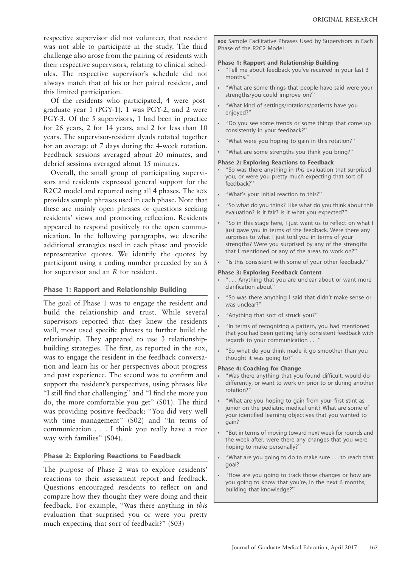respective supervisor did not volunteer, that resident was not able to participate in the study. The third challenge also arose from the pairing of residents with their respective supervisors, relating to clinical schedules. The respective supervisor's schedule did not always match that of his or her paired resident, and this limited participation.

Of the residents who participated, 4 were postgraduate year 1 (PGY-1), 1 was PGY-2, and 2 were PGY-3. Of the 5 supervisors, 1 had been in practice for 26 years, 2 for 14 years, and 2 for less than 10 years. The supervisor-resident dyads rotated together for an average of 7 days during the 4-week rotation. Feedback sessions averaged about 20 minutes, and debrief sessions averaged about 15 minutes.

Overall, the small group of participating supervisors and residents expressed general support for the R2C2 model and reported using all 4 phases. The BOX provides sample phrases used in each phase. Note that these are mainly open phrases or questions seeking residents' views and promoting reflection. Residents appeared to respond positively to the open communication. In the following paragraphs, we describe additional strategies used in each phase and provide representative quotes. We identify the quotes by participant using a coding number preceded by an S for supervisor and an R for resident.

#### Phase 1: Rapport and Relationship Building

The goal of Phase 1 was to engage the resident and build the relationship and trust. While several supervisors reported that they knew the residents well, most used specific phrases to further build the relationship. They appeared to use 3 relationshipbuilding strategies. The first, as reported in the BOX, was to engage the resident in the feedback conversation and learn his or her perspectives about progress and past experience. The second was to confirm and support the resident's perspectives, using phrases like ''I still find that challenging'' and ''I find the more you do, the more comfortable you get'' (S01). The third was providing positive feedback: ''You did very well with time management" (S02) and "In terms of communication . . . I think you really have a nice way with families'' (S04).

#### Phase 2: Exploring Reactions to Feedback

The purpose of Phase 2 was to explore residents' reactions to their assessment report and feedback. Questions encouraged residents to reflect on and compare how they thought they were doing and their feedback. For example, ''Was there anything in this evaluation that surprised you or were you pretty much expecting that sort of feedback?'' (S03)

BOX Sample Facilitative Phrases Used by Supervisors in Each Phase of the R2C2 Model

#### Phase 1: Rapport and Relationship Building

- & ''Tell me about feedback you've received in your last 3 months.''
- & ''What are some things that people have said were your strengths/you could improve on?''
- & ''What kind of settings/rotations/patients have you enjoyed?''
- & ''Do you see some trends or some things that come up consistently in your feedback?''
- & ''What were you hoping to gain in this rotation?''
- & ''What are some strengths you think you bring?''

#### Phase 2: Exploring Reactions to Feedback

- **So was there anything in this evaluation that surprised** you, or were you pretty much expecting that sort of feedback?''
- & ''What's your initial reaction to this?''
- & ''So what do you think? Like what do you think about this evaluation? Is it fair? Is it what you expected?''
- & ''So in this stage here, I just want us to reflect on what I just gave you in terms of the feedback. Were there any surprises to what I just told you in terms of your strengths? Were you surprised by any of the strengths that I mentioned or any of the areas to work on?''
- & ''Is this consistent with some of your other feedback?''

#### Phase 3: Exploring Feedback Content

- & ''. . . Anything that you are unclear about or want more clarification about''
- & ''So was there anything I said that didn't make sense or was unclear?''
- & ''Anything that sort of struck you?''
- & ''In terms of recognizing a pattern, you had mentioned that you had been getting fairly consistent feedback with regards to your communication . . .''
- & ''So what do you think made it go smoother than you thought it was going to?''

#### Phase 4: Coaching for Change

- & ''Was there anything that you found difficult, would do differently, or want to work on prior to or during another rotation?''
- & ''What are you hoping to gain from your first stint as junior on the pediatric medical unit? What are some of your identified learning objectives that you wanted to gain?
- & ''But in terms of moving toward next week for rounds and the week after, were there any changes that you were hoping to make personally?''
- & ''What are you going to do to make sure . . . to reach that goal?
- "How are you going to track those changes or how are you going to know that you're, in the next 6 months, building that knowledge?''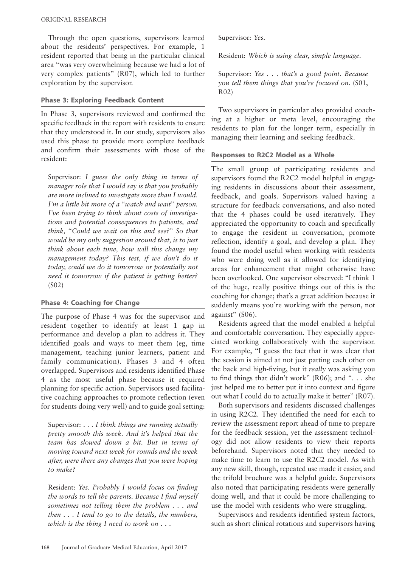Through the open questions, supervisors learned about the residents' perspectives. For example, 1 resident reported that being in the particular clinical area ''was very overwhelming because we had a lot of very complex patients'' (R07), which led to further exploration by the supervisor.

#### Phase 3: Exploring Feedback Content

In Phase 3, supervisors reviewed and confirmed the specific feedback in the report with residents to ensure that they understood it. In our study, supervisors also used this phase to provide more complete feedback and confirm their assessments with those of the resident:

Supervisor: I guess the only thing in terms of manager role that I would say is that you probably are more inclined to investigate more than I would. I'm a little bit more of a "watch and wait" person. I've been trying to think about costs of investigations and potential consequences to patients, and think, ''Could we wait on this and see?'' So that would be my only suggestion around that, is to just think about each time, how will this change my management today? This test, if we don't do it today, could we do it tomorrow or potentially not need it tomorrow if the patient is getting better? (S02)

# Phase 4: Coaching for Change

The purpose of Phase 4 was for the supervisor and resident together to identify at least 1 gap in performance and develop a plan to address it. They identified goals and ways to meet them (eg, time management, teaching junior learners, patient and family communication). Phases 3 and 4 often overlapped. Supervisors and residents identified Phase 4 as the most useful phase because it required planning for specific action. Supervisors used facilitative coaching approaches to promote reflection (even for students doing very well) and to guide goal setting:

Supervisor: . . . I think things are running actually pretty smooth this week. And it's helped that the team has slowed down a bit. But in terms of moving toward next week for rounds and the week after, were there any changes that you were hoping to make?

Resident: Yes. Probably I would focus on finding the words to tell the parents. Because I find myself sometimes not telling them the problem . . . and then  $\dots$  I tend to go to the details, the numbers, which is the thing I need to work on  $\dots$ 

Supervisor: Yes.

Resident: Which is using clear, simple language.

Supervisor: Yes . . . that's a good point. Because you tell them things that you're focused on. (S01, R02)

Two supervisors in particular also provided coaching at a higher or meta level, encouraging the residents to plan for the longer term, especially in managing their learning and seeking feedback.

# Responses to R2C2 Model as a Whole

The small group of participating residents and supervisors found the R2C2 model helpful in engaging residents in discussions about their assessment, feedback, and goals. Supervisors valued having a structure for feedback conversations, and also noted that the 4 phases could be used iteratively. They appreciated the opportunity to coach and specifically to engage the resident in conversation, promote reflection, identify a goal, and develop a plan. They found the model useful when working with residents who were doing well as it allowed for identifying areas for enhancement that might otherwise have been overlooked. One supervisor observed: ''I think 1 of the huge, really positive things out of this is the coaching for change; that's a great addition because it suddenly means you're working with the person, not against" (S06).

Residents agreed that the model enabled a helpful and comfortable conversation. They especially appreciated working collaboratively with the supervisor. For example, "I guess the fact that it was clear that the session is aimed at not just patting each other on the back and high-fiving, but it really was asking you to find things that didn't work'' (R06); and ''. . . she just helped me to better put it into context and figure out what I could do to actually make it better'' (R07).

Both supervisors and residents discussed challenges in using R2C2. They identified the need for each to review the assessment report ahead of time to prepare for the feedback session, yet the assessment technology did not allow residents to view their reports beforehand. Supervisors noted that they needed to make time to learn to use the R2C2 model. As with any new skill, though, repeated use made it easier, and the trifold brochure was a helpful guide. Supervisors also noted that participating residents were generally doing well, and that it could be more challenging to use the model with residents who were struggling.

Supervisors and residents identified system factors, such as short clinical rotations and supervisors having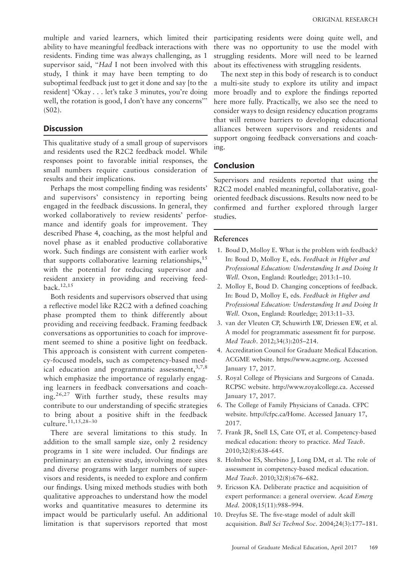multiple and varied learners, which limited their ability to have meaningful feedback interactions with residents. Finding time was always challenging, as 1 supervisor said, "Had I not been involved with this study, I think it may have been tempting to do suboptimal feedback just to get it done and say [to the resident] 'Okay . . . let's take 3 minutes, you're doing well, the rotation is good, I don't have any concerns''' (S02).

# **Discussion**

This qualitative study of a small group of supervisors and residents used the R2C2 feedback model. While responses point to favorable initial responses, the small numbers require cautious consideration of results and their implications.

Perhaps the most compelling finding was residents' and supervisors' consistency in reporting being engaged in the feedback discussions. In general, they worked collaboratively to review residents' performance and identify goals for improvement. They described Phase 4, coaching, as the most helpful and novel phase as it enabled productive collaborative work. Such findings are consistent with earlier work that supports collaborative learning relationships,  $15$ with the potential for reducing supervisor and resident anxiety in providing and receiving feedback. $12,15$ 

Both residents and supervisors observed that using a reflective model like R2C2 with a defined coaching phase prompted them to think differently about providing and receiving feedback. Framing feedback conversations as opportunities to coach for improvement seemed to shine a positive light on feedback. This approach is consistent with current competency-focused models, such as competency-based medical education and programmatic assessment,  $3,7,8$ which emphasize the importance of regularly engaging learners in feedback conversations and coaching.<sup>26,27</sup> With further study, these results may contribute to our understanding of specific strategies to bring about a positive shift in the feedback culture.<sup>11,15,28-30</sup>

There are several limitations to this study. In addition to the small sample size, only 2 residency programs in 1 site were included. Our findings are preliminary: an extensive study, involving more sites and diverse programs with larger numbers of supervisors and residents, is needed to explore and confirm our findings. Using mixed methods studies with both qualitative approaches to understand how the model works and quantitative measures to determine its impact would be particularly useful. An additional limitation is that supervisors reported that most participating residents were doing quite well, and there was no opportunity to use the model with struggling residents. More will need to be learned about its effectiveness with struggling residents.

The next step in this body of research is to conduct a multi-site study to explore its utility and impact more broadly and to explore the findings reported here more fully. Practically, we also see the need to consider ways to design residency education programs that will remove barriers to developing educational alliances between supervisors and residents and support ongoing feedback conversations and coaching.

## Conclusion

Supervisors and residents reported that using the R2C2 model enabled meaningful, collaborative, goaloriented feedback discussions. Results now need to be confirmed and further explored through larger studies.

#### References

- 1. Boud D, Molloy E. What is the problem with feedback? In: Boud D, Molloy E, eds. Feedback in Higher and Professional Education: Understanding It and Doing It Well. Oxon, England: Routledge; 2013:1–10.
- 2. Molloy E, Boud D. Changing conceptions of feedback. In: Boud D, Molloy E, eds. Feedback in Higher and Professional Education: Understanding It and Doing It Well. Oxon, England: Routledge; 2013:11–33.
- 3. van der Vleuten CP, Schuwirth LW, Driessen EW, et al. A model for programmatic assessment fit for purpose. Med Teach. 2012;34(3):205–214.
- 4. Accreditation Council for Graduate Medical Education. ACGME website. [https://www.acgme.org.](https://www.acgme.org) Accessed January 17, 2017.
- 5. Royal College of Physicians and Surgeons of Canada. RCPSC website. [http://www.royalcollege.ca.](http://www.royalcollege.ca) Accessed January 17, 2017.
- 6. The College of Family Physicians of Canada. CFPC website. [http://cfpc.ca/Home.](http://cfpc.ca/Home) Accessed January 17, 2017.
- 7. Frank JR, Snell LS, Cate OT, et al. Competency-based medical education: theory to practice. Med Teach. 2010;32(8):638–645.
- 8. Holmboe ES, Sherbino J, Long DM, et al. The role of assessment in competency-based medical education. Med Teach. 2010;32(8):676–682.
- 9. Ericsson KA. Deliberate practice and acquisition of expert performance: a general overview. Acad Emerg Med. 2008;15(11):988–994.
- 10. Dreyfus SE. The five-stage model of adult skill acquisition. Bull Sci Technol Soc. 2004;24(3):177–181.